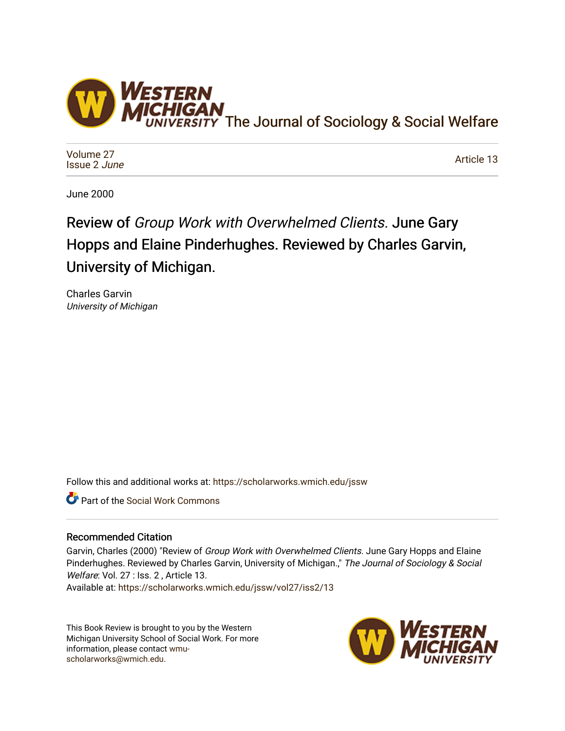

[Volume 27](https://scholarworks.wmich.edu/jssw/vol27) [Issue 2](https://scholarworks.wmich.edu/jssw/vol27/iss2) June

[Article 13](https://scholarworks.wmich.edu/jssw/vol27/iss2/13) 

June 2000

## Review of Group Work with Overwhelmed Clients. June Gary Hopps and Elaine Pinderhughes. Reviewed by Charles Garvin, University of Michigan.

Charles Garvin University of Michigan

Follow this and additional works at: [https://scholarworks.wmich.edu/jssw](https://scholarworks.wmich.edu/jssw?utm_source=scholarworks.wmich.edu%2Fjssw%2Fvol27%2Fiss2%2F13&utm_medium=PDF&utm_campaign=PDFCoverPages) 

Part of the [Social Work Commons](http://network.bepress.com/hgg/discipline/713?utm_source=scholarworks.wmich.edu%2Fjssw%2Fvol27%2Fiss2%2F13&utm_medium=PDF&utm_campaign=PDFCoverPages)

## Recommended Citation

Garvin, Charles (2000) "Review of Group Work with Overwhelmed Clients. June Gary Hopps and Elaine Pinderhughes. Reviewed by Charles Garvin, University of Michigan.," The Journal of Sociology & Social Welfare: Vol. 27 : Iss. 2, Article 13.

Available at: [https://scholarworks.wmich.edu/jssw/vol27/iss2/13](https://scholarworks.wmich.edu/jssw/vol27/iss2/13?utm_source=scholarworks.wmich.edu%2Fjssw%2Fvol27%2Fiss2%2F13&utm_medium=PDF&utm_campaign=PDFCoverPages) 

This Book Review is brought to you by the Western Michigan University School of Social Work. For more information, please contact [wmu](mailto:wmu-scholarworks@wmich.edu)[scholarworks@wmich.edu.](mailto:wmu-scholarworks@wmich.edu)

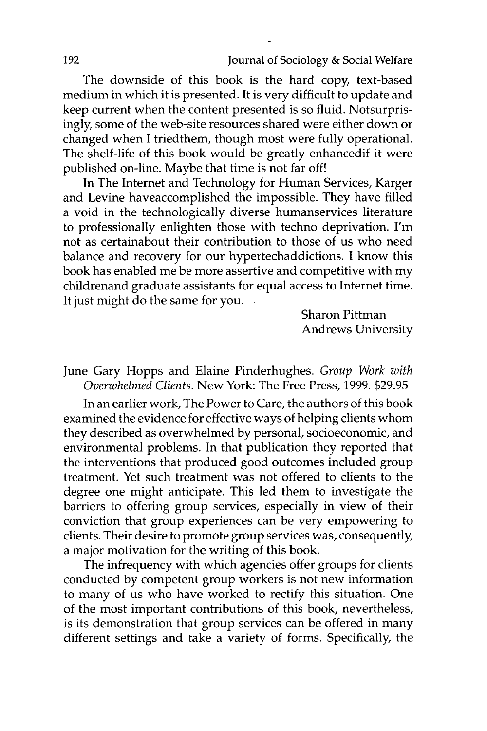The downside of this book is the hard copy, text-based medium in which it is presented. It is very difficult to update and keep current when the content presented is so fluid. Notsurprisingly, some of the web-site resources shared were either down or changed when I triedthem, though most were fully operational. The shelf-life of this book would be greatly enhancedif it were published on-line. Maybe that time is not far off!

In The Internet and Technology for Human Services, Karger and Levine haveaccomplished the impossible. They have filled a void in the technologically diverse humanservices literature to professionally enlighten those with techno deprivation. I'm not as certainabout their contribution to those of us who need balance and recovery for our hypertechaddictions. I know this book has enabled me be more assertive and competitive with my childrenand graduate assistants for equal access to Internet time. It just might do the same for you.

> Sharon Pittman Andrews University

June Gary Hopps and Elaine Pinderhughes. *Group Work with Overwhelmed Clients.* New York: The Free Press, 1999. \$29.95

In an earlier work, The Power to Care, the authors of this book examined the evidence for effective ways of helping clients whom they described as overwhelmed by personal, socioeconomic, and environmental problems. In that publication they reported that the interventions that produced good outcomes included group treatment. Yet such treatment was not offered to clients to the degree one might anticipate. This led them to investigate the barriers to offering group services, especially in view of their conviction that group experiences can be very empowering to clients. Their desire to promote group services was, consequently, a major motivation for the writing of this book.

The infrequency with which agencies offer groups for clients conducted by competent group workers is not new information to many of us who have worked to rectify this situation. One of the most important contributions of this book, nevertheless, is its demonstration that group services can be offered in many different settings and take a variety of forms. Specifically, the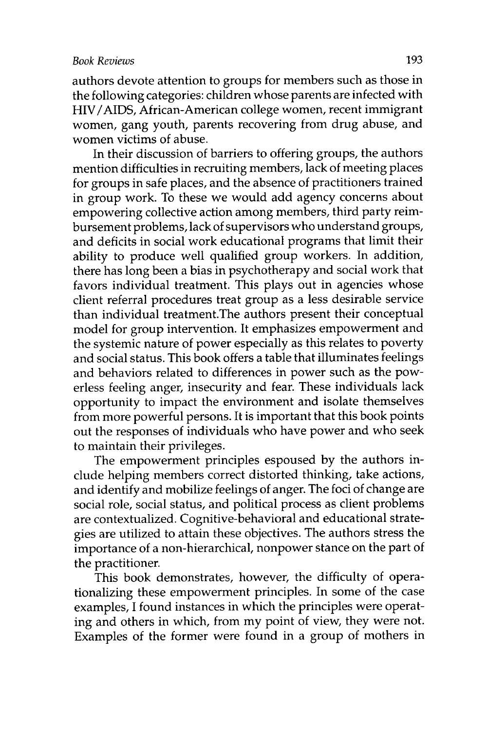authors devote attention to groups for members such as those in the following categories: children whose parents are infected with HIV /AIDS, African-American college women, recent immigrant women, gang youth, parents recovering from drug abuse, and women victims of abuse.

In their discussion of barriers to offering groups, the authors mention difficulties in recruiting members, lack of meeting places for groups in safe places, and the absence of practitioners trained in group work. To these we would add agency concerns about empowering collective action among members, third party reimbursement problems, lack of supervisors who understand groups, and deficits in social work educational programs that limit their ability to produce well qualified group workers. In addition, there has long been a bias in psychotherapy and social work that favors individual treatment. This plays out in agencies whose client referral procedures treat group as a less desirable service than individual treatment.The authors present their conceptual model for group intervention. It emphasizes empowerment and the systemic nature of power especially as this relates to poverty and social status. This book offers a table that illuminates feelings and behaviors related to differences in power such as the powerless feeling anger, insecurity and fear. These individuals lack opportunity to impact the environment and isolate themselves from more powerful persons. It is important that this book points out the responses of individuals who have power and who seek to maintain their privileges.

The empowerment principles espoused by the authors include helping members correct distorted thinking, take actions, and identify and mobilize feelings of anger. The foci of change are social role, social status, and political process as client problems are contextualized. Cognitive-behavioral and educational strategies are utilized to attain these objectives. The authors stress the importance of a non-hierarchical, nonpower stance on the part of the practitioner.

This book demonstrates, however, the difficulty of operationalizing these empowerment principles. In some of the case examples, I found instances in which the principles were operating and others in which, from my point of view, they were not. Examples of the former were found in a group of mothers in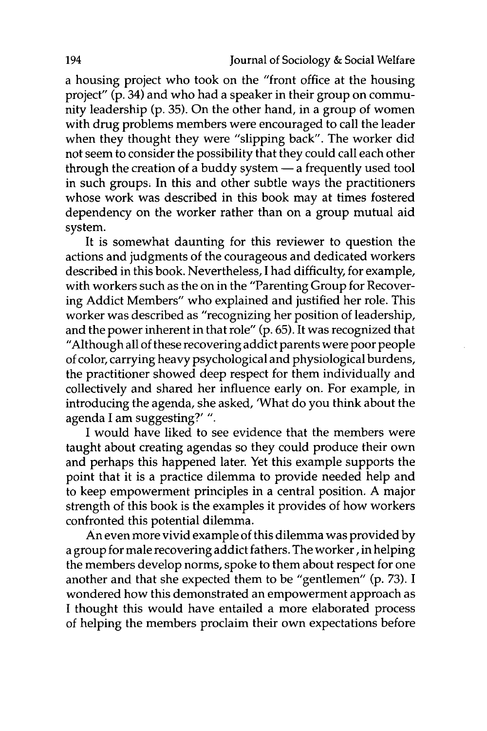a housing project who took on the "front office at the housing project" (p. 34) and who had a speaker in their group on community leadership (p. 35). On the other hand, in a group of women with drug problems members were encouraged to call the leader when they thought they were "slipping back". The worker did not seem to consider the possibility that they could call each other through the creation of a buddy system  $-$  a frequently used tool in such groups; In this and other subtle ways the practitioners whose work was described in this book may at times fostered dependency on the worker rather than on a group mutual aid system.

It is somewhat daunting for this reviewer to question the actions and judgments of the courageous and dedicated workers described in this book. Nevertheless, I had difficulty, for example, with workers such as the on in the "Parenting Group for Recovering Addict Members" who explained and justified her role. This worker was described as "recognizing her position of leadership, and the power inherent in that role" (p. 65). It was recognized that "Although all of these recovering addict parents were poor people of color, carrying heavy psychological and physiological burdens, the practitioner showed deep respect for them individually and collectively and shared her influence early on. For example, in introducing the agenda, she asked, 'What do you think about the agenda I am suggesting?' ".

I would have liked to see evidence that the members were taught about creating agendas so they could produce their own and perhaps this happened later. Yet this example supports the point that it is a practice dilemma to provide needed help and to keep empowerment principles in a central position. A major strength of this book is the examples it provides of how workers confronted this potential dilemma.

An even more vivid example of this dilemma was provided by a group for male recovering addict fathers. The worker, in helping the members develop norms, spoke to them about respect for one another and that she expected them to be "gentlemen" (p. 73). I wondered how this demonstrated an empowerment approach as I thought this would have entailed a more elaborated process of helping the members proclaim their own expectations before